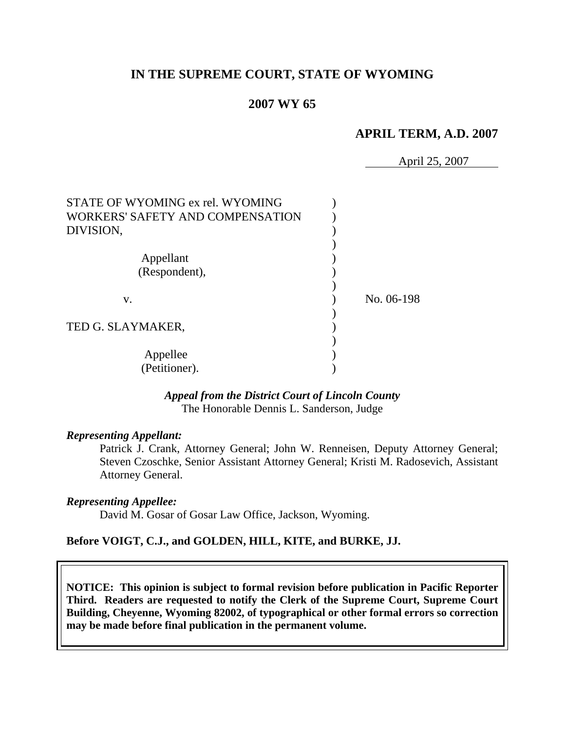# **IN THE SUPREME COURT, STATE OF WYOMING**

# **2007 WY 65**

## **APRIL TERM, A.D. 2007**

April 25, 2007

| STATE OF WYOMING ex rel. WYOMING<br>WORKERS' SAFETY AND COMPENSATION<br>DIVISION, |            |
|-----------------------------------------------------------------------------------|------------|
| Appellant<br>(Respondent),                                                        |            |
| V.                                                                                | No. 06-198 |
| TED G. SLAYMAKER,                                                                 |            |
| Appellee<br>(Petitioner).                                                         |            |

### *Appeal from the District Court of Lincoln County* The Honorable Dennis L. Sanderson, Judge

#### *Representing Appellant:*

Patrick J. Crank, Attorney General; John W. Renneisen, Deputy Attorney General; Steven Czoschke, Senior Assistant Attorney General; Kristi M. Radosevich, Assistant Attorney General.

#### *Representing Appellee:*

David M. Gosar of Gosar Law Office, Jackson, Wyoming.

### **Before VOIGT, C.J., and GOLDEN, HILL, KITE, and BURKE, JJ.**

**NOTICE: This opinion is subject to formal revision before publication in Pacific Reporter Third. Readers are requested to notify the Clerk of the Supreme Court, Supreme Court Building, Cheyenne, Wyoming 82002, of typographical or other formal errors so correction may be made before final publication in the permanent volume.**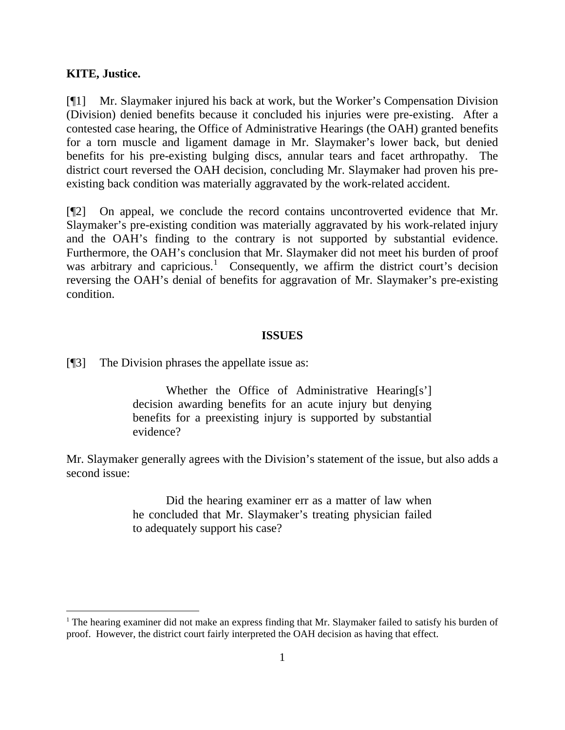#### **KITE, Justice.**

[¶1] Mr. Slaymaker injured his back at work, but the Worker's Compensation Division (Division) denied benefits because it concluded his injuries were pre-existing. After a contested case hearing, the Office of Administrative Hearings (the OAH) granted benefits for a torn muscle and ligament damage in Mr. Slaymaker's lower back, but denied benefits for his pre-existing bulging discs, annular tears and facet arthropathy. The district court reversed the OAH decision, concluding Mr. Slaymaker had proven his preexisting back condition was materially aggravated by the work-related accident.

[¶2] On appeal, we conclude the record contains uncontroverted evidence that Mr. Slaymaker's pre-existing condition was materially aggravated by his work-related injury and the OAH's finding to the contrary is not supported by substantial evidence. Furthermore, the OAH's conclusion that Mr. Slaymaker did not meet his burden of proof was arbitrary and capricious.<sup>[1](#page-2-0)</sup> Consequently, we affirm the district court's decision reversing the OAH's denial of benefits for aggravation of Mr. Slaymaker's pre-existing condition.

#### **ISSUES**

[¶3] The Division phrases the appellate issue as:

Whether the Office of Administrative Hearing[s'] decision awarding benefits for an acute injury but denying benefits for a preexisting injury is supported by substantial evidence?

Mr. Slaymaker generally agrees with the Division's statement of the issue, but also adds a second issue:

> Did the hearing examiner err as a matter of law when he concluded that Mr. Slaymaker's treating physician failed to adequately support his case?

<span id="page-2-0"></span><sup>&</sup>lt;sup>1</sup> The hearing examiner did not make an express finding that Mr. Slaymaker failed to satisfy his burden of proof. However, the district court fairly interpreted the OAH decision as having that effect.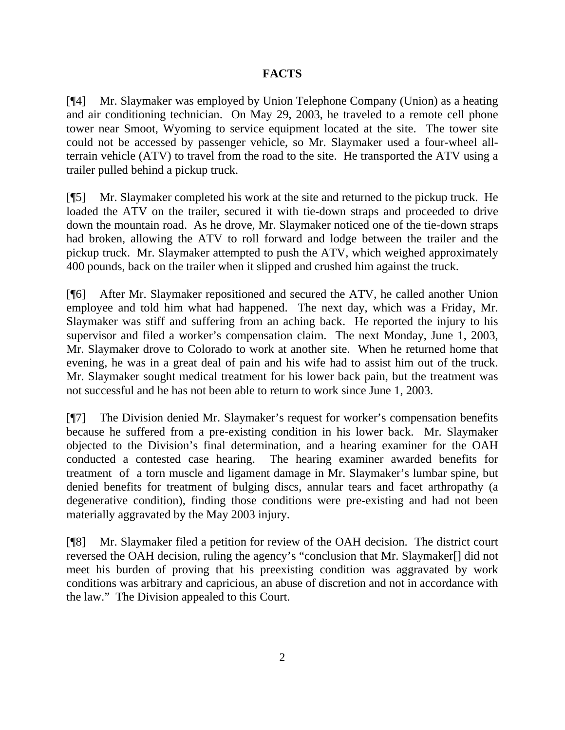# **FACTS**

[¶4] Mr. Slaymaker was employed by Union Telephone Company (Union) as a heating and air conditioning technician. On May 29, 2003, he traveled to a remote cell phone tower near Smoot, Wyoming to service equipment located at the site. The tower site could not be accessed by passenger vehicle, so Mr. Slaymaker used a four-wheel allterrain vehicle (ATV) to travel from the road to the site. He transported the ATV using a trailer pulled behind a pickup truck.

[¶5] Mr. Slaymaker completed his work at the site and returned to the pickup truck. He loaded the ATV on the trailer, secured it with tie-down straps and proceeded to drive down the mountain road. As he drove, Mr. Slaymaker noticed one of the tie-down straps had broken, allowing the ATV to roll forward and lodge between the trailer and the pickup truck. Mr. Slaymaker attempted to push the ATV, which weighed approximately 400 pounds, back on the trailer when it slipped and crushed him against the truck.

[¶6] After Mr. Slaymaker repositioned and secured the ATV, he called another Union employee and told him what had happened. The next day, which was a Friday, Mr. Slaymaker was stiff and suffering from an aching back. He reported the injury to his supervisor and filed a worker's compensation claim. The next Monday, June 1, 2003, Mr. Slaymaker drove to Colorado to work at another site. When he returned home that evening, he was in a great deal of pain and his wife had to assist him out of the truck. Mr. Slaymaker sought medical treatment for his lower back pain, but the treatment was not successful and he has not been able to return to work since June 1, 2003.

[¶7] The Division denied Mr. Slaymaker's request for worker's compensation benefits because he suffered from a pre-existing condition in his lower back. Mr. Slaymaker objected to the Division's final determination, and a hearing examiner for the OAH conducted a contested case hearing. The hearing examiner awarded benefits for treatment of a torn muscle and ligament damage in Mr. Slaymaker's lumbar spine, but denied benefits for treatment of bulging discs, annular tears and facet arthropathy (a degenerative condition), finding those conditions were pre-existing and had not been materially aggravated by the May 2003 injury.

[¶8] Mr. Slaymaker filed a petition for review of the OAH decision. The district court reversed the OAH decision, ruling the agency's "conclusion that Mr. Slaymaker[] did not meet his burden of proving that his preexisting condition was aggravated by work conditions was arbitrary and capricious, an abuse of discretion and not in accordance with the law." The Division appealed to this Court.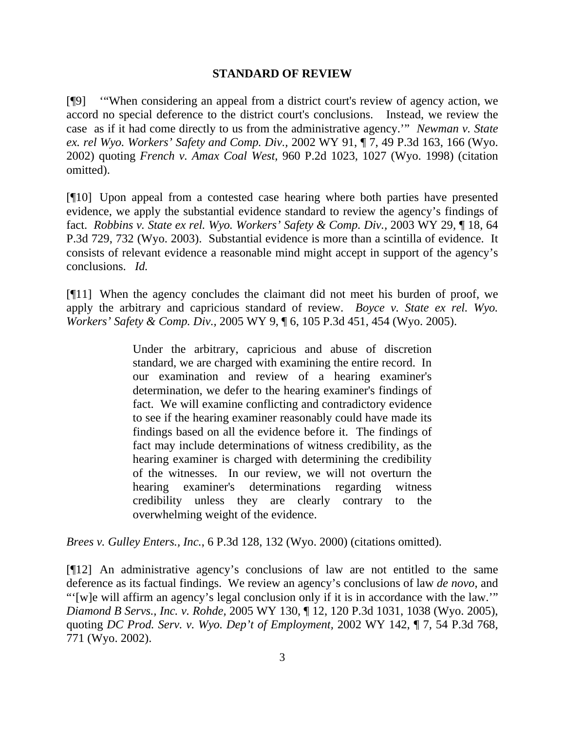### **STANDARD OF REVIEW**

[¶9] '"When considering an appeal from a district court's review of agency action, we accord no special deference to the district court's conclusions. Instead, we review the case as if it had come directly to us from the administrative agency.'" *Newman v. State ex. rel Wyo. Workers' Safety and Comp. Div.,* 2002 WY 91, ¶ 7, 49 P.3d 163, 166 (Wyo. 2002) quoting *French v. Amax Coal West*, 960 P.2d 1023, 1027 (Wyo. 1998) (citation omitted).

[¶10] Upon appeal from a contested case hearing where both parties have presented evidence, we apply the substantial evidence standard to review the agency's findings of fact. *Robbins v. State ex rel. Wyo. Workers' Safety & Comp. Div.,* 2003 WY 29, ¶ 18, 64 P.3d 729, 732 (Wyo. 2003). Substantial evidence is more than a scintilla of evidence. It consists of relevant evidence a reasonable mind might accept in support of the agency's conclusions. *Id.*

[¶11] When the agency concludes the claimant did not meet his burden of proof, we apply the arbitrary and capricious standard of review. *Boyce v. State ex rel. Wyo. Workers' Safety & Comp. Div.,* 2005 WY 9, ¶ 6, 105 P.3d 451, 454 (Wyo. 2005).

> Under the arbitrary, capricious and abuse of discretion standard, we are charged with examining the entire record. In our examination and review of a hearing examiner's determination, we defer to the hearing examiner's findings of fact. We will examine conflicting and contradictory evidence to see if the hearing examiner reasonably could have made its findings based on all the evidence before it. The findings of fact may include determinations of witness credibility, as the hearing examiner is charged with determining the credibility of the witnesses. In our review, we will not overturn the hearing examiner's determinations regarding witness credibility unless they are clearly contrary to the overwhelming weight of the evidence.

*Brees v. Gulley Enters., Inc.*, 6 P.3d 128, 132 (Wyo. 2000) (citations omitted).

[¶12] An administrative agency's conclusions of law are not entitled to the same deference as its factual findings. We review an agency's conclusions of law *de novo*, and "'[w]e will affirm an agency's legal conclusion only if it is in accordance with the law.'" *Diamond B Servs., Inc. v. Rohde,* 2005 WY 130, ¶ 12, 120 P.3d 1031, 1038 (Wyo. 2005), quoting *DC Prod. Serv. v. Wyo. Dep't of Employment,* 2002 WY 142, ¶ 7, 54 P.3d 768, 771 (Wyo. 2002).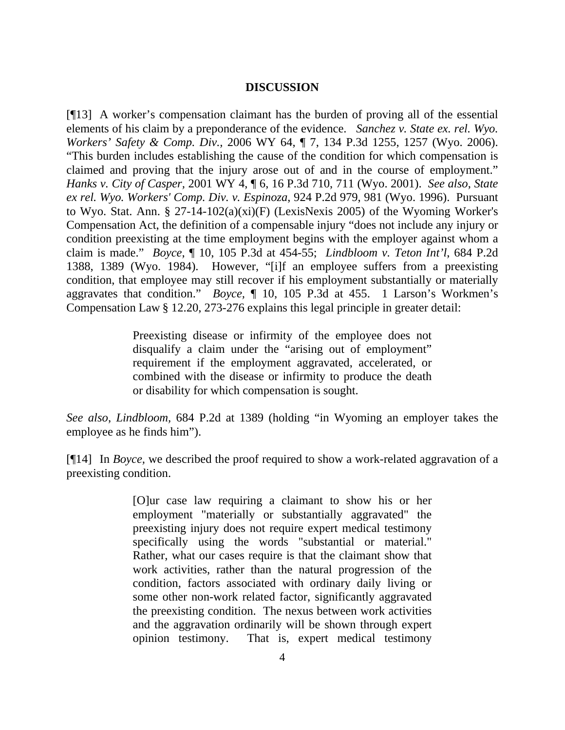### **DISCUSSION**

[¶13] A worker's compensation claimant has the burden of proving all of the essential elements of his claim by a preponderance of the evidence. *Sanchez v. State ex. rel. Wyo. Workers' Safety & Comp. Div.,* 2006 WY 64, ¶ 7, 134 P.3d 1255, 1257 (Wyo. 2006). "This burden includes establishing the cause of the condition for which compensation is claimed and proving that the injury arose out of and in the course of employment." *Hanks v. City of Casper,* 2001 WY 4, ¶ 6, 16 P.3d 710, 711 (Wyo. 2001). *See also*, *State ex rel. Wyo. Workers' Comp. Div. v. Espinoza*, 924 P.2d 979, 981 (Wyo. 1996). Pursuant to Wyo. Stat. Ann. § 27-14-102(a)(xi)(F) (LexisNexis 2005) of the Wyoming Worker's Compensation Act, the definition of a compensable injury "does not include any injury or condition preexisting at the time employment begins with the employer against whom a claim is made." *Boyce*, ¶ 10, 105 P.3d at 454-55; *Lindbloom v. Teton Int'l*, 684 P.2d 1388, 1389 (Wyo. 1984). However, "[i]f an employee suffers from a preexisting condition, that employee may still recover if his employment substantially or materially aggravates that condition." *Boyce,* ¶ 10, 105 P.3d at 455. 1 Larson's Workmen's Compensation Law § 12.20, 273-276 explains this legal principle in greater detail:

> Preexisting disease or infirmity of the employee does not disqualify a claim under the "arising out of employment" requirement if the employment aggravated, accelerated, or combined with the disease or infirmity to produce the death or disability for which compensation is sought.

*See also*, *Lindbloom,* 684 P.2d at 1389 (holding "in Wyoming an employer takes the employee as he finds him").

[¶14] In *Boyce,* we described the proof required to show a work-related aggravation of a preexisting condition.

> [O]ur case law requiring a claimant to show his or her employment "materially or substantially aggravated" the preexisting injury does not require expert medical testimony specifically using the words "substantial or material." Rather, what our cases require is that the claimant show that work activities, rather than the natural progression of the condition, factors associated with ordinary daily living or some other non-work related factor, significantly aggravated the preexisting condition. The nexus between work activities and the aggravation ordinarily will be shown through expert opinion testimony. That is, expert medical testimony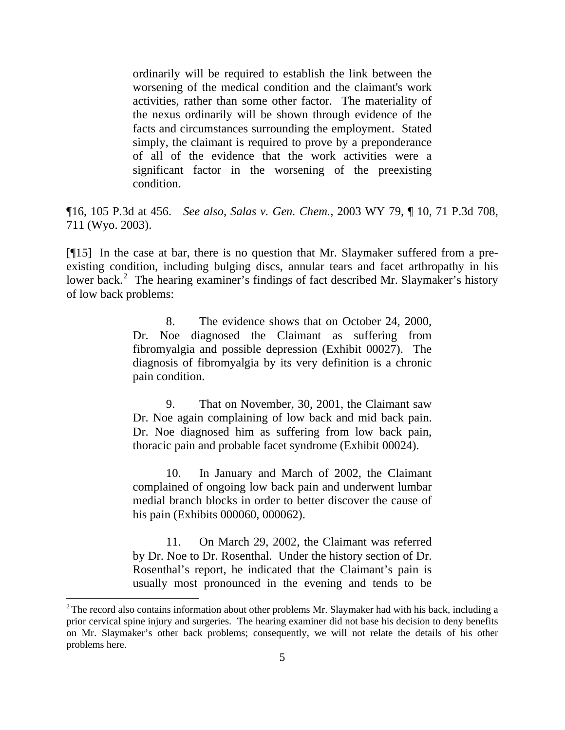ordinarily will be required to establish the link between the worsening of the medical condition and the claimant's work activities, rather than some other factor. The materiality of the nexus ordinarily will be shown through evidence of the facts and circumstances surrounding the employment. Stated simply, the claimant is required to prove by a preponderance of all of the evidence that the work activities were a significant factor in the worsening of the preexisting condition.

¶16, 105 P.3d at 456. *See also*, *Salas v. Gen. Chem.,* 2003 WY 79, ¶ 10, 71 P.3d 708, 711 (Wyo. 2003).

[¶15] In the case at bar, there is no question that Mr. Slaymaker suffered from a preexisting condition, including bulging discs, annular tears and facet arthropathy in his lower back.<sup>[2](#page-6-0)</sup> The hearing examiner's findings of fact described Mr. Slaymaker's history of low back problems:

> 8. The evidence shows that on October 24, 2000, Dr. Noe diagnosed the Claimant as suffering from fibromyalgia and possible depression (Exhibit 00027). The diagnosis of fibromyalgia by its very definition is a chronic pain condition.

> 9. That on November, 30, 2001, the Claimant saw Dr. Noe again complaining of low back and mid back pain. Dr. Noe diagnosed him as suffering from low back pain, thoracic pain and probable facet syndrome (Exhibit 00024).

> 10. In January and March of 2002, the Claimant complained of ongoing low back pain and underwent lumbar medial branch blocks in order to better discover the cause of his pain (Exhibits 000060, 000062).

> 11. On March 29, 2002, the Claimant was referred by Dr. Noe to Dr. Rosenthal. Under the history section of Dr. Rosenthal's report, he indicated that the Claimant's pain is usually most pronounced in the evening and tends to be

<span id="page-6-0"></span> $2^2$ The record also contains information about other problems Mr. Slaymaker had with his back, including a prior cervical spine injury and surgeries. The hearing examiner did not base his decision to deny benefits on Mr. Slaymaker's other back problems; consequently, we will not relate the details of his other problems here.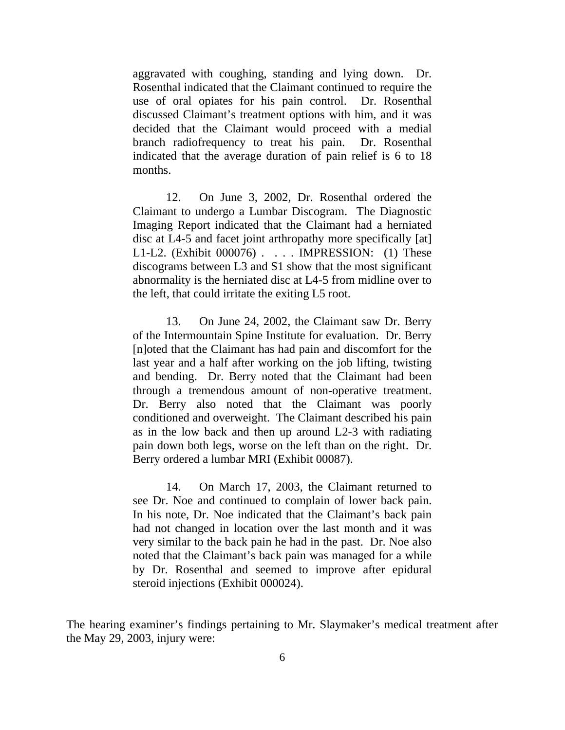aggravated with coughing, standing and lying down. Dr. Rosenthal indicated that the Claimant continued to require the use of oral opiates for his pain control. Dr. Rosenthal discussed Claimant's treatment options with him, and it was decided that the Claimant would proceed with a medial branch radiofrequency to treat his pain. Dr. Rosenthal indicated that the average duration of pain relief is 6 to 18 months.

12. On June 3, 2002, Dr. Rosenthal ordered the Claimant to undergo a Lumbar Discogram. The Diagnostic Imaging Report indicated that the Claimant had a herniated disc at L4-5 and facet joint arthropathy more specifically [at] L1-L2. (Exhibit 000076) . . . . IMPRESSION: (1) These discograms between L3 and S1 show that the most significant abnormality is the herniated disc at L4-5 from midline over to the left, that could irritate the exiting L5 root.

13. On June 24, 2002, the Claimant saw Dr. Berry of the Intermountain Spine Institute for evaluation. Dr. Berry [n]oted that the Claimant has had pain and discomfort for the last year and a half after working on the job lifting, twisting and bending. Dr. Berry noted that the Claimant had been through a tremendous amount of non-operative treatment. Dr. Berry also noted that the Claimant was poorly conditioned and overweight. The Claimant described his pain as in the low back and then up around L2-3 with radiating pain down both legs, worse on the left than on the right. Dr. Berry ordered a lumbar MRI (Exhibit 00087).

14. On March 17, 2003, the Claimant returned to see Dr. Noe and continued to complain of lower back pain. In his note, Dr. Noe indicated that the Claimant's back pain had not changed in location over the last month and it was very similar to the back pain he had in the past. Dr. Noe also noted that the Claimant's back pain was managed for a while by Dr. Rosenthal and seemed to improve after epidural steroid injections (Exhibit 000024).

The hearing examiner's findings pertaining to Mr. Slaymaker's medical treatment after the May 29, 2003, injury were: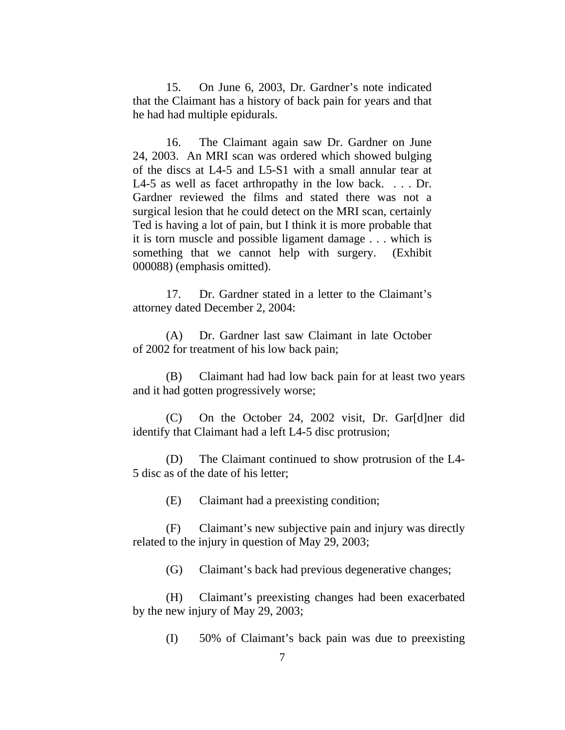15. On June 6, 2003, Dr. Gardner's note indicated that the Claimant has a history of back pain for years and that he had had multiple epidurals.

16. The Claimant again saw Dr. Gardner on June 24, 2003. An MRI scan was ordered which showed bulging of the discs at L4-5 and L5-S1 with a small annular tear at L4-5 as well as facet arthropathy in the low back. . . . Dr. Gardner reviewed the films and stated there was not a surgical lesion that he could detect on the MRI scan, certainly Ted is having a lot of pain, but I think it is more probable that it is torn muscle and possible ligament damage . . . which is something that we cannot help with surgery. (Exhibit 000088) (emphasis omitted).

17. Dr. Gardner stated in a letter to the Claimant's attorney dated December 2, 2004:

(A) Dr. Gardner last saw Claimant in late October of 2002 for treatment of his low back pain;

(B) Claimant had had low back pain for at least two years and it had gotten progressively worse;

(C) On the October 24, 2002 visit, Dr. Gar[d]ner did identify that Claimant had a left L4-5 disc protrusion;

(D) The Claimant continued to show protrusion of the L4- 5 disc as of the date of his letter;

(E) Claimant had a preexisting condition;

(F) Claimant's new subjective pain and injury was directly related to the injury in question of May 29, 2003;

(G) Claimant's back had previous degenerative changes;

(H) Claimant's preexisting changes had been exacerbated by the new injury of May 29, 2003;

(I) 50% of Claimant's back pain was due to preexisting

7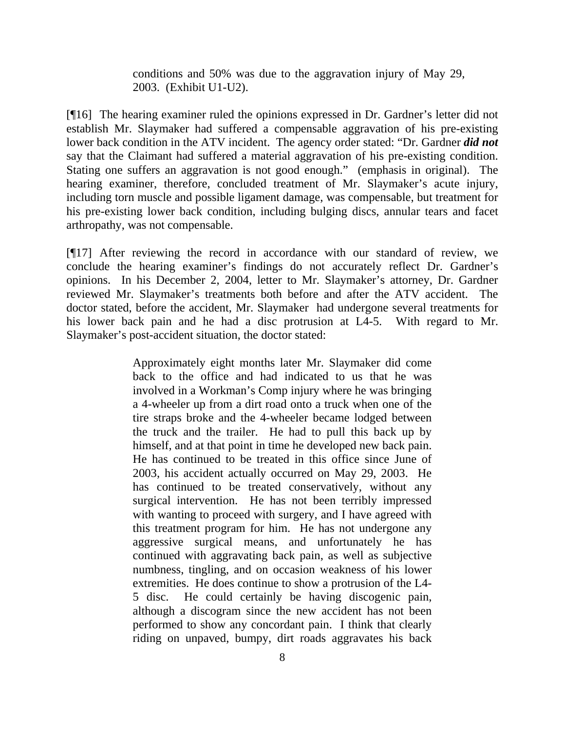conditions and 50% was due to the aggravation injury of May 29, 2003. (Exhibit U1-U2).

[¶16] The hearing examiner ruled the opinions expressed in Dr. Gardner's letter did not establish Mr. Slaymaker had suffered a compensable aggravation of his pre-existing lower back condition in the ATV incident. The agency order stated: "Dr. Gardner *did not* say that the Claimant had suffered a material aggravation of his pre-existing condition. Stating one suffers an aggravation is not good enough." (emphasis in original). The hearing examiner, therefore, concluded treatment of Mr. Slaymaker's acute injury, including torn muscle and possible ligament damage, was compensable, but treatment for his pre-existing lower back condition, including bulging discs, annular tears and facet arthropathy, was not compensable.

[¶17] After reviewing the record in accordance with our standard of review, we conclude the hearing examiner's findings do not accurately reflect Dr. Gardner's opinions. In his December 2, 2004, letter to Mr. Slaymaker's attorney, Dr. Gardner reviewed Mr. Slaymaker's treatments both before and after the ATV accident. The doctor stated, before the accident, Mr. Slaymaker had undergone several treatments for his lower back pain and he had a disc protrusion at L4-5. With regard to Mr. Slaymaker's post-accident situation, the doctor stated:

> Approximately eight months later Mr. Slaymaker did come back to the office and had indicated to us that he was involved in a Workman's Comp injury where he was bringing a 4-wheeler up from a dirt road onto a truck when one of the tire straps broke and the 4-wheeler became lodged between the truck and the trailer. He had to pull this back up by himself, and at that point in time he developed new back pain. He has continued to be treated in this office since June of 2003, his accident actually occurred on May 29, 2003. He has continued to be treated conservatively, without any surgical intervention. He has not been terribly impressed with wanting to proceed with surgery, and I have agreed with this treatment program for him. He has not undergone any aggressive surgical means, and unfortunately he has continued with aggravating back pain, as well as subjective numbness, tingling, and on occasion weakness of his lower extremities. He does continue to show a protrusion of the L4- 5 disc. He could certainly be having discogenic pain, although a discogram since the new accident has not been performed to show any concordant pain. I think that clearly riding on unpaved, bumpy, dirt roads aggravates his back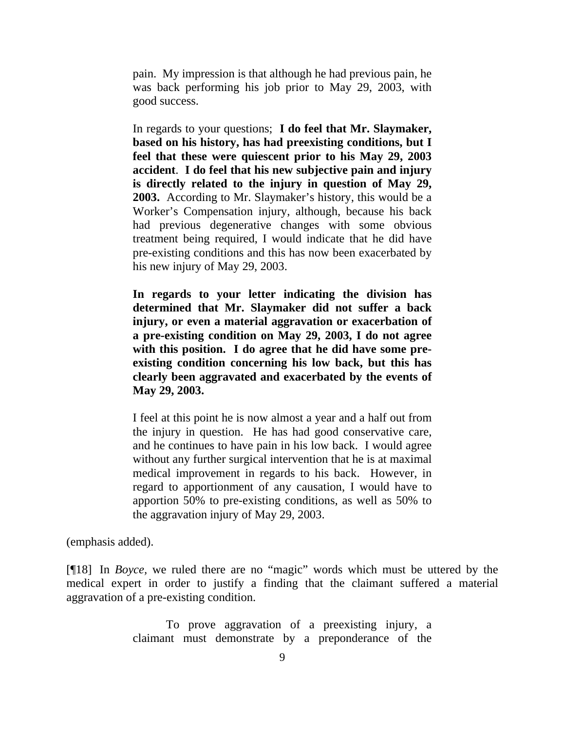pain. My impression is that although he had previous pain, he was back performing his job prior to May 29, 2003, with good success.

In regards to your questions; **I do feel that Mr. Slaymaker, based on his history, has had preexisting conditions, but I feel that these were quiescent prior to his May 29, 2003 accident**. **I do feel that his new subjective pain and injury is directly related to the injury in question of May 29, 2003.** According to Mr. Slaymaker's history, this would be a Worker's Compensation injury, although, because his back had previous degenerative changes with some obvious treatment being required, I would indicate that he did have pre-existing conditions and this has now been exacerbated by his new injury of May 29, 2003.

**In regards to your letter indicating the division has determined that Mr. Slaymaker did not suffer a back injury, or even a material aggravation or exacerbation of a pre-existing condition on May 29, 2003, I do not agree with this position. I do agree that he did have some preexisting condition concerning his low back, but this has clearly been aggravated and exacerbated by the events of May 29, 2003.** 

I feel at this point he is now almost a year and a half out from the injury in question. He has had good conservative care, and he continues to have pain in his low back. I would agree without any further surgical intervention that he is at maximal medical improvement in regards to his back. However, in regard to apportionment of any causation, I would have to apportion 50% to pre-existing conditions, as well as 50% to the aggravation injury of May 29, 2003.

(emphasis added).

[¶18] In *Boyce,* we ruled there are no "magic" words which must be uttered by the medical expert in order to justify a finding that the claimant suffered a material aggravation of a pre-existing condition.

> To prove aggravation of a preexisting injury, a claimant must demonstrate by a preponderance of the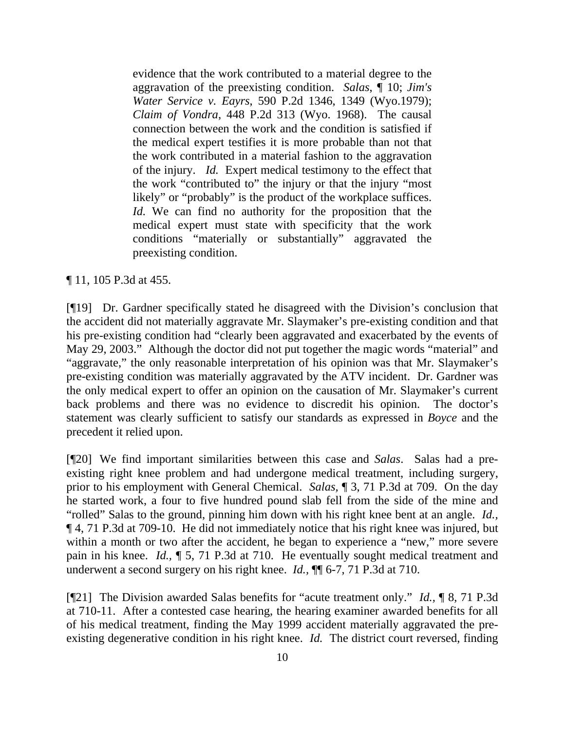evidence that the work contributed to a material degree to the aggravation of the preexisting condition. *Salas*, ¶ 10; *Jim's Water Service v. Eayrs*, 590 P.2d 1346, 1349 (Wyo.1979); *Claim of Vondra*, 448 P.2d 313 (Wyo. 1968). The causal connection between the work and the condition is satisfied if the medical expert testifies it is more probable than not that the work contributed in a material fashion to the aggravation of the injury. *Id.* Expert medical testimony to the effect that the work "contributed to" the injury or that the injury "most likely" or "probably" is the product of the workplace suffices. *Id.* We can find no authority for the proposition that the medical expert must state with specificity that the work conditions "materially or substantially" aggravated the preexisting condition.

## ¶ 11, 105 P.3d at 455.

[¶19] Dr. Gardner specifically stated he disagreed with the Division's conclusion that the accident did not materially aggravate Mr. Slaymaker's pre-existing condition and that his pre-existing condition had "clearly been aggravated and exacerbated by the events of May 29, 2003." Although the doctor did not put together the magic words "material" and "aggravate," the only reasonable interpretation of his opinion was that Mr. Slaymaker's pre-existing condition was materially aggravated by the ATV incident. Dr. Gardner was the only medical expert to offer an opinion on the causation of Mr. Slaymaker's current back problems and there was no evidence to discredit his opinion. The doctor's statement was clearly sufficient to satisfy our standards as expressed in *Boyce* and the precedent it relied upon.

[¶20] We find important similarities between this case and *Salas*. Salas had a preexisting right knee problem and had undergone medical treatment, including surgery, prior to his employment with General Chemical. *Salas,* ¶ 3, 71 P.3d at 709. On the day he started work, a four to five hundred pound slab fell from the side of the mine and "rolled" Salas to the ground, pinning him down with his right knee bent at an angle. *Id.,*  ¶ 4, 71 P.3d at 709-10. He did not immediately notice that his right knee was injured, but within a month or two after the accident, he began to experience a "new," more severe pain in his knee. *Id.,* ¶ 5, 71 P.3d at 710. He eventually sought medical treatment and underwent a second surgery on his right knee. *Id.,* ¶¶ 6-7, 71 P.3d at 710.

[¶21] The Division awarded Salas benefits for "acute treatment only." *Id.,* ¶ 8, 71 P.3d at 710-11. After a contested case hearing, the hearing examiner awarded benefits for all of his medical treatment, finding the May 1999 accident materially aggravated the preexisting degenerative condition in his right knee. *Id.* The district court reversed, finding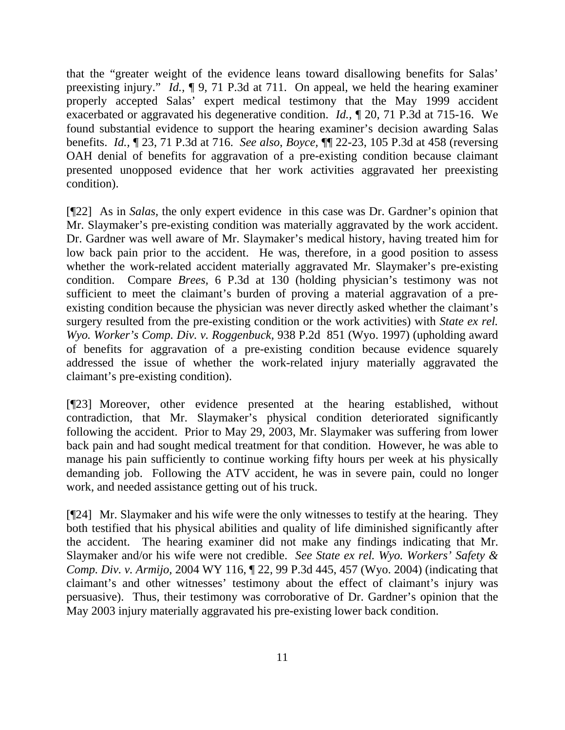that the "greater weight of the evidence leans toward disallowing benefits for Salas' preexisting injury." *Id.,* ¶ 9, 71 P.3d at 711. On appeal, we held the hearing examiner properly accepted Salas' expert medical testimony that the May 1999 accident exacerbated or aggravated his degenerative condition. *Id.,* ¶ 20, 71 P.3d at 715-16. We found substantial evidence to support the hearing examiner's decision awarding Salas benefits. *Id.,* ¶ 23, 71 P.3d at 716. *See also*, *Boyce,* ¶¶ 22-23, 105 P.3d at 458 (reversing OAH denial of benefits for aggravation of a pre-existing condition because claimant presented unopposed evidence that her work activities aggravated her preexisting condition).

[¶22] As in *Salas,* the only expert evidence in this case was Dr. Gardner's opinion that Mr. Slaymaker's pre-existing condition was materially aggravated by the work accident. Dr. Gardner was well aware of Mr. Slaymaker's medical history, having treated him for low back pain prior to the accident. He was, therefore, in a good position to assess whether the work-related accident materially aggravated Mr. Slaymaker's pre-existing condition. Compare *Brees,* 6 P.3d at 130 (holding physician's testimony was not sufficient to meet the claimant's burden of proving a material aggravation of a preexisting condition because the physician was never directly asked whether the claimant's surgery resulted from the pre-existing condition or the work activities) with *State ex rel. Wyo. Worker's Comp. Div. v. Roggenbuck,* 938 P.2d 851 (Wyo. 1997) (upholding award of benefits for aggravation of a pre-existing condition because evidence squarely addressed the issue of whether the work-related injury materially aggravated the claimant's pre-existing condition).

[¶23] Moreover, other evidence presented at the hearing established, without contradiction, that Mr. Slaymaker's physical condition deteriorated significantly following the accident. Prior to May 29, 2003, Mr. Slaymaker was suffering from lower back pain and had sought medical treatment for that condition. However, he was able to manage his pain sufficiently to continue working fifty hours per week at his physically demanding job. Following the ATV accident, he was in severe pain, could no longer work, and needed assistance getting out of his truck.

[¶24] Mr. Slaymaker and his wife were the only witnesses to testify at the hearing. They both testified that his physical abilities and quality of life diminished significantly after the accident. The hearing examiner did not make any findings indicating that Mr. Slaymaker and/or his wife were not credible. *See State ex rel. Wyo. Workers' Safety & Comp. Div. v. Armijo,* 2004 WY 116, ¶ 22, 99 P.3d 445, 457 (Wyo. 2004) (indicating that claimant's and other witnesses' testimony about the effect of claimant's injury was persuasive). Thus, their testimony was corroborative of Dr. Gardner's opinion that the May 2003 injury materially aggravated his pre-existing lower back condition.